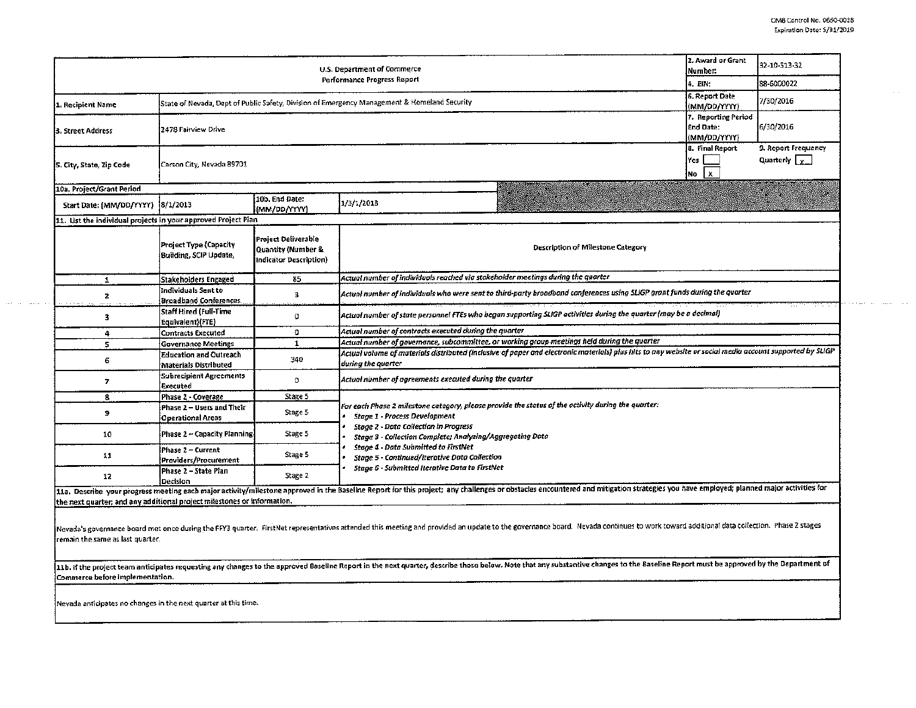| 6. Report Date<br>State of Nevada, Dept of Public Safety, Division of Emergency Management & Homeland Security<br>L. Recipient Name |                                                         |                                                                     |                                                                                                                                                                                                                                                                                                                                                                                                           |  | 7/30/2016 |  |  |  |  |
|-------------------------------------------------------------------------------------------------------------------------------------|---------------------------------------------------------|---------------------------------------------------------------------|-----------------------------------------------------------------------------------------------------------------------------------------------------------------------------------------------------------------------------------------------------------------------------------------------------------------------------------------------------------------------------------------------------------|--|-----------|--|--|--|--|
| 3. Street Address                                                                                                                   | 2478 Fairview Drive                                     | (MM/DD/YYYY)<br>7. Reporting Period<br>End Date:<br>(MM/DD/YYYY)    | 6/30/2016                                                                                                                                                                                                                                                                                                                                                                                                 |  |           |  |  |  |  |
| 5. City, State, Zip Code                                                                                                            | Carson City, Nevada 89701                               | 8. Final Report<br>Yes<br>$\mathbf{x}$<br>No                        | 9. Report Frequency<br>Quarterly $\boxed{\chi}$                                                                                                                                                                                                                                                                                                                                                           |  |           |  |  |  |  |
| 10a. Project/Grant Period                                                                                                           |                                                         |                                                                     |                                                                                                                                                                                                                                                                                                                                                                                                           |  |           |  |  |  |  |
| Start Date: (MM/DD/YYYY) 18/1/2013                                                                                                  |                                                         | 10b. End Date:<br>(MM/0D/YYYY)                                      | 1/3/1/2018                                                                                                                                                                                                                                                                                                                                                                                                |  |           |  |  |  |  |
| 11. List the individual projects in your approved Project Plan                                                                      |                                                         |                                                                     |                                                                                                                                                                                                                                                                                                                                                                                                           |  |           |  |  |  |  |
|                                                                                                                                     | Project Type (Capacity<br><b>Suilding, SCIP Update,</b> | Project Deliverable<br>Quantity (Number &<br>Indicator Description) | Description of Milestone Category                                                                                                                                                                                                                                                                                                                                                                         |  |           |  |  |  |  |
| $\mathbf{1}$                                                                                                                        | Stakeholders Engaged                                    | 85                                                                  | Actual number of individuals reached via stakeholder meetings during the quarter                                                                                                                                                                                                                                                                                                                          |  |           |  |  |  |  |
| z                                                                                                                                   | Individuals Sent to<br><b>Broadband Conferences</b>     | 3                                                                   | Actual number of individuals who were sent to third-party broadband conferences using SLIGP grant funds during the quarter                                                                                                                                                                                                                                                                                |  |           |  |  |  |  |
| 3                                                                                                                                   | Staff Hired (Full-Time<br>Equivalent)(FTE)              | 0                                                                   | Actual number of state personnel FTEs who began supporting SLIGP activities during the quarter (may be a decimal)                                                                                                                                                                                                                                                                                         |  |           |  |  |  |  |
| 4                                                                                                                                   | <b>Contracts Executed</b>                               | $\circ$                                                             | Actual number of contracts executed during the quarter                                                                                                                                                                                                                                                                                                                                                    |  |           |  |  |  |  |
| 5.                                                                                                                                  | Governance Meetings                                     | $\mathbf{1}$                                                        | Actual number of governance, subcommittee, or working group meetings held during the quarter                                                                                                                                                                                                                                                                                                              |  |           |  |  |  |  |
| 6                                                                                                                                   | <b>Education and Outreach</b><br>Materials Distributed  | 340                                                                 | Actual volume of materials distributed (inclusive of paper and electronic materials) plus hits to any website or social media account supported by SLIGP<br>during the quarter                                                                                                                                                                                                                            |  |           |  |  |  |  |
| 7                                                                                                                                   | Subrecipient Agreements<br>Executed                     | $\Omega$                                                            | Actual number of agreements executed during the quarter                                                                                                                                                                                                                                                                                                                                                   |  |           |  |  |  |  |
| 8                                                                                                                                   | Phase 2 - Coverage                                      | Stage 5                                                             |                                                                                                                                                                                                                                                                                                                                                                                                           |  |           |  |  |  |  |
| 9                                                                                                                                   | Phase 2 – Users and Their<br>Operational Areas          | Stage 5                                                             | For each Phase 2 milestone category, please provide the status of the activity during the quarter:<br><b>Stage 1 - Process Development</b><br><b>Stage 2 - Data Collection in Progress</b><br>Stage 3 - Collection Complete; Analyzing/Aggregating Data<br><b>Stage 4 - Data Submitted to FirstNet</b><br>Stage 5 - Continued/Iterative Data Collection<br>Stage 6 - Submitted Iterative Data to FirstNet |  |           |  |  |  |  |
| 10                                                                                                                                  | Phase 2 ~ Capacity Planning.                            | Stage 5                                                             |                                                                                                                                                                                                                                                                                                                                                                                                           |  |           |  |  |  |  |
| 11                                                                                                                                  | Phase 2 – Current<br>Providers/Procurement              | Stage 5                                                             |                                                                                                                                                                                                                                                                                                                                                                                                           |  |           |  |  |  |  |
| 12                                                                                                                                  | Phase 2 - State Plan<br>Decision                        | Stage 2                                                             |                                                                                                                                                                                                                                                                                                                                                                                                           |  |           |  |  |  |  |
| the next quarter; and any additional project milestones or information.                                                             |                                                         |                                                                     | 11a. Describe your progress meeting each major activity/milestone approved in the Baseline Report for this project; any challenges or obstacles encountered and mitigation strategies you have employed; planned major activit                                                                                                                                                                            |  |           |  |  |  |  |

11b. If the project team anticipates requesting any changes to the approved Baseline Report in the next quarter, describe those below. Note that any substantive changes to the Baseline Report must be approved by the Depart .<br>|Commerce before implementation.

Nevada anticipates no changes in the next quarter at this time.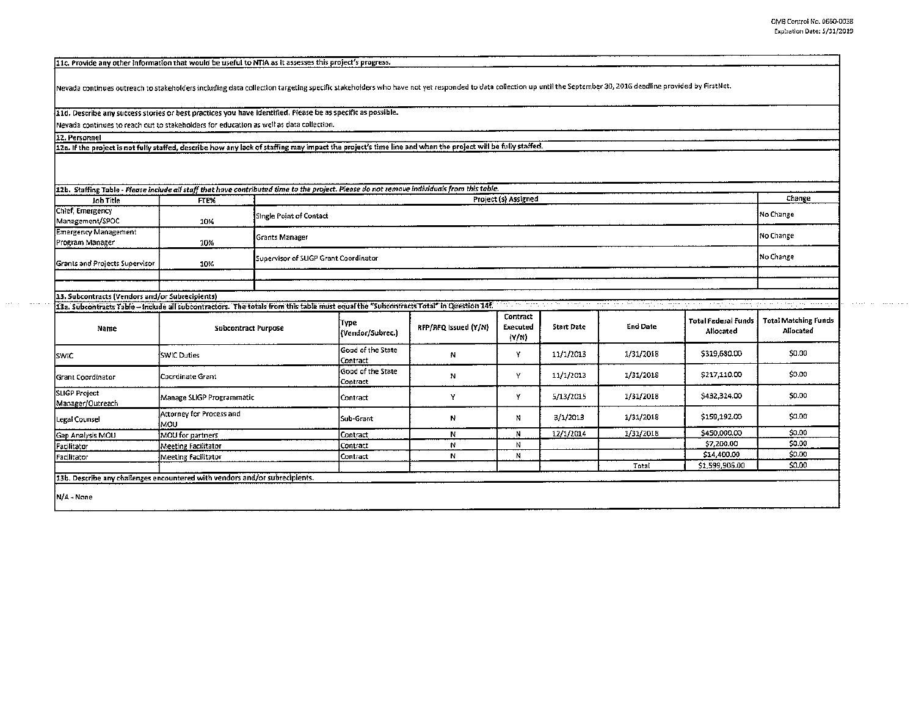the concentration of the contract of the concentration of the concentration of

11c. Provide any other Information that would be useful to NTIA as it assesses this project's progress.

Nevada continues outreach to stakeholders including data collection targeting specific stakeholders who have not yet responded to data collection up until the September 30, 2016 deadline provided by First Net.

11d. Describe any success stories or best practices you have identified. Please be as specific as possible.

Nevada continues to reach out to stakeholders for education as well as data collection.

12. Personnel

12a. If the project is not fully staffed, describe how any lack of staffing may impact the project's time line and when the project will be fully staffed.

|                                                  |      | 12b. Staffing Table - Please include all staff that have contributed time to the project. Please do not remove individuals from this table. |           |
|--------------------------------------------------|------|---------------------------------------------------------------------------------------------------------------------------------------------|-----------|
| Job Title                                        | FTE% | Project (s) Assigned                                                                                                                        | Change    |
| Chief, Emergency                                 |      | Single Point of Contact                                                                                                                     | Mo Change |
| Management/SPOC                                  | 10%  |                                                                                                                                             |           |
| <b>Emergency Management</b>                      |      | <b>Grants Manager</b>                                                                                                                       | No Change |
| Program Manager                                  | 10%  |                                                                                                                                             |           |
| Grants and Projects Supervisor                   | 10%  | Supervisor of SLIGP Grant Coordinator                                                                                                       | No Change |
|                                                  |      |                                                                                                                                             |           |
|                                                  |      |                                                                                                                                             |           |
| [33. Subcontracts (Vendors and/or Subrecipients) |      |                                                                                                                                             |           |

| Name                              | <b>Subcontract Purpose</b>                                                  | (Түре<br>(Vendor/Subrec.)     | RFP/RFQ Issued (Y/N) | Contract<br>Executed<br>(N/N) | Start Date | <b>End Date</b> | Total Federal Funds<br>Allocated | <b>Total Matching Funds</b><br>Allocated |
|-----------------------------------|-----------------------------------------------------------------------------|-------------------------------|----------------------|-------------------------------|------------|-----------------|----------------------------------|------------------------------------------|
| <b>SWIC</b>                       | <b>SWIC Duties</b>                                                          | Good of the State<br>Contract | Ν                    | ٧                             | 11/1/2013  | 1/31/2018       | \$319,680.00                     | \$0.00                                   |
| <b>Grant Coordinator</b>          | Coordinate Grant                                                            | Good of the State<br>Contract | N                    | v                             | 11/1/2013  | 1/31/2018       | \$217,110.00                     | \$0.00                                   |
| SLIGP Project<br>Manager/Outreach | Manage SLIGP Programmatic                                                   | Contract                      |                      | v                             | 5/13/2015  | 1/31/2018       | \$432,324.00                     | \$0.00                                   |
| Legal Counsel                     | Attorney for Process and<br>MOU                                             | Sub-Grant                     | N                    | N                             | 3/1/2013   | 1/31/2018       | \$159,192.00                     | 50.00                                    |
| Gap Analysis MOU                  | MOU for partners                                                            | Contract                      | И                    | N                             | 12/1/2014  | 1/31/2018       | \$450,000.00                     | \$0.00                                   |
| Facilitator                       | Meeting Facilitator                                                         | Contract                      | N                    | N                             |            |                 | \$7,200.00                       | \$0.00                                   |
| Facilitator                       | <b>Meeting Facilitator</b>                                                  | Contract                      | N                    | N                             |            |                 | \$14,400.00                      | \$0.00                                   |
|                                   |                                                                             |                               |                      |                               |            | Total           | \$1,599,906.00                   | \$0.00                                   |
|                                   | 13b. Describe any challenges encountered with vendors and/or subrecipients. |                               |                      |                               |            |                 |                                  |                                          |
| N/A - None                        |                                                                             |                               |                      |                               |            |                 |                                  |                                          |